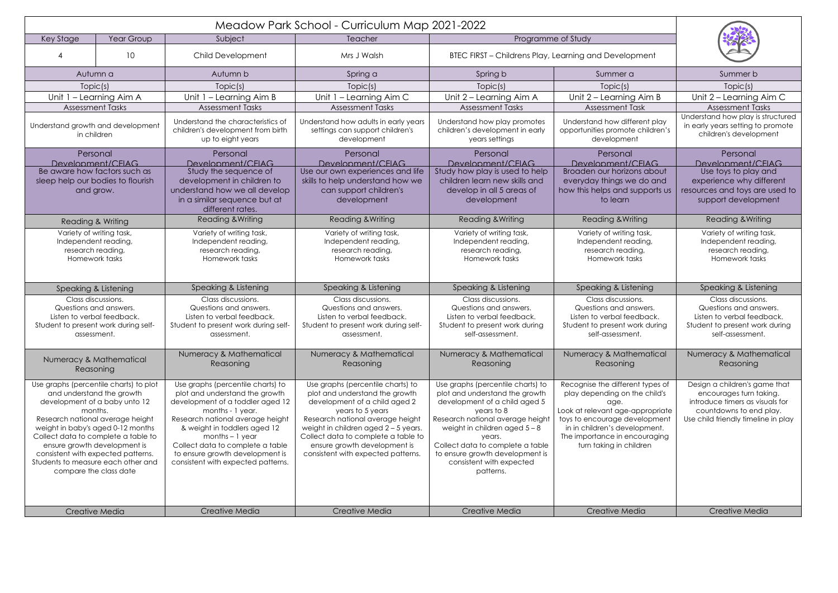| Meadow Park School - Curriculum Map 2021-2022                                                                                                                                                                                                                                                                                                                         |            |                                                                                                                                                                                                                                                                                                                                   |                                                                                                                                                                                                                                                                                                                     |                                                                                                                                                                                                                                                                                                                     |                                                                                                                                                                                                                                             |                                                                                                                                                               |
|-----------------------------------------------------------------------------------------------------------------------------------------------------------------------------------------------------------------------------------------------------------------------------------------------------------------------------------------------------------------------|------------|-----------------------------------------------------------------------------------------------------------------------------------------------------------------------------------------------------------------------------------------------------------------------------------------------------------------------------------|---------------------------------------------------------------------------------------------------------------------------------------------------------------------------------------------------------------------------------------------------------------------------------------------------------------------|---------------------------------------------------------------------------------------------------------------------------------------------------------------------------------------------------------------------------------------------------------------------------------------------------------------------|---------------------------------------------------------------------------------------------------------------------------------------------------------------------------------------------------------------------------------------------|---------------------------------------------------------------------------------------------------------------------------------------------------------------|
| Key Stage                                                                                                                                                                                                                                                                                                                                                             | Year Group | Subject                                                                                                                                                                                                                                                                                                                           | Teacher                                                                                                                                                                                                                                                                                                             | Programme of Study                                                                                                                                                                                                                                                                                                  |                                                                                                                                                                                                                                             |                                                                                                                                                               |
|                                                                                                                                                                                                                                                                                                                                                                       | 10         | <b>Child Development</b>                                                                                                                                                                                                                                                                                                          | Mrs J Walsh                                                                                                                                                                                                                                                                                                         | BTEC FIRST - Childrens Play, Learning and Development                                                                                                                                                                                                                                                               |                                                                                                                                                                                                                                             |                                                                                                                                                               |
| Autumn a                                                                                                                                                                                                                                                                                                                                                              |            | Autumn b                                                                                                                                                                                                                                                                                                                          | Spring a                                                                                                                                                                                                                                                                                                            | Spring b                                                                                                                                                                                                                                                                                                            | Summer a                                                                                                                                                                                                                                    | Summer b                                                                                                                                                      |
| Topic(s)                                                                                                                                                                                                                                                                                                                                                              |            | Topic(s)                                                                                                                                                                                                                                                                                                                          | Topic(s)                                                                                                                                                                                                                                                                                                            | Topic(s)                                                                                                                                                                                                                                                                                                            | Topic(s)                                                                                                                                                                                                                                    | Topic(s)                                                                                                                                                      |
| Unit 1 - Learning Aim A                                                                                                                                                                                                                                                                                                                                               |            | Unit 1 - Learning Aim B                                                                                                                                                                                                                                                                                                           | Unit 1 - Learning Aim C                                                                                                                                                                                                                                                                                             | Unit 2 - Learning Aim A                                                                                                                                                                                                                                                                                             | Unit 2 – Learning Aim B                                                                                                                                                                                                                     | Unit 2 - Learning Aim C                                                                                                                                       |
| <b>Assessment Tasks</b>                                                                                                                                                                                                                                                                                                                                               |            | <b>Assessment Tasks</b>                                                                                                                                                                                                                                                                                                           | <b>Assessment Tasks</b>                                                                                                                                                                                                                                                                                             | <b>Assessment Tasks</b>                                                                                                                                                                                                                                                                                             | <b>Assessment Task</b>                                                                                                                                                                                                                      | <b>Assessment Tasks</b>                                                                                                                                       |
| Understand growth and development<br>in children                                                                                                                                                                                                                                                                                                                      |            | Understand the characteristics of<br>children's development from birth<br>up to eight years                                                                                                                                                                                                                                       | Understand how adults in early years<br>settings can support children's<br>development                                                                                                                                                                                                                              | Understand how play promotes<br>children's development in early<br>years settings                                                                                                                                                                                                                                   | Understand how different play<br>opportunities promote children's<br>development                                                                                                                                                            | Understand how play is structured<br>in early years setting to promote<br>children's development                                                              |
| Personal                                                                                                                                                                                                                                                                                                                                                              |            | Personal<br>Development/CFIAG                                                                                                                                                                                                                                                                                                     | Personal<br>Development/CFIAG                                                                                                                                                                                                                                                                                       | Personal<br>Development/CFIAG                                                                                                                                                                                                                                                                                       | Personal<br>Development/CFIAG                                                                                                                                                                                                               | Personal<br>Development/CFIAG                                                                                                                                 |
| Development/CFIAG<br>Be aware how factors such as<br>sleep help our bodies to flourish<br>and grow.                                                                                                                                                                                                                                                                   |            | Study the sequence of<br>development in children to<br>understand how we all develop<br>in a similar sequence but at<br>different rates.                                                                                                                                                                                          | Use our own experiences and life<br>skills to help understand how we<br>can support children's<br>development                                                                                                                                                                                                       | Study how play is used to help<br>children learn new skills and<br>develop in all 5 areas of<br>development                                                                                                                                                                                                         | Broaden our horizons about<br>everyday things we do and<br>how this helps and supports us<br>to learn                                                                                                                                       | Use toys to play and<br>experience why different<br>resources and toys are used to<br>support development                                                     |
| Reading & Writing                                                                                                                                                                                                                                                                                                                                                     |            | Reading & Writing                                                                                                                                                                                                                                                                                                                 | Reading & Writing                                                                                                                                                                                                                                                                                                   | Reading & Writing                                                                                                                                                                                                                                                                                                   | Reading & Writing                                                                                                                                                                                                                           | Reading & Writing                                                                                                                                             |
| Variety of writing task,<br>Independent reading,<br>research reading,<br>Homework tasks                                                                                                                                                                                                                                                                               |            | Variety of writing task,<br>Independent reading,<br>research reading,<br>Homework tasks                                                                                                                                                                                                                                           | Variety of writing task,<br>Independent reading,<br>research reading,<br>Homework tasks                                                                                                                                                                                                                             | Variety of writing task,<br>Independent reading,<br>research reading,<br>Homework tasks                                                                                                                                                                                                                             | Variety of writing task,<br>Independent reading,<br>research reading,<br>Homework tasks                                                                                                                                                     | Variety of writing task,<br>Independent reading,<br>research reading,<br>Homework tasks                                                                       |
| Speaking & Listening                                                                                                                                                                                                                                                                                                                                                  |            | Speaking & Listening                                                                                                                                                                                                                                                                                                              | Speaking & Listening                                                                                                                                                                                                                                                                                                | Speaking & Listening                                                                                                                                                                                                                                                                                                | Speaking & Listening                                                                                                                                                                                                                        | Speaking & Listening                                                                                                                                          |
| Class discussions.<br>Questions and answers.<br>Listen to verbal feedback.<br>Student to present work during self-<br>assessment.                                                                                                                                                                                                                                     |            | Class discussions.<br>Questions and answers.<br>Listen to verbal feedback.<br>Student to present work during self-<br>assessment.                                                                                                                                                                                                 | Class discussions.<br>Questions and answers.<br>Listen to verbal feedback.<br>Student to present work during self-<br>assessment.                                                                                                                                                                                   | Class discussions.<br>Questions and answers.<br>Listen to verbal feedback.<br>Student to present work during<br>self-assessment.                                                                                                                                                                                    | Class discussions.<br>Questions and answers.<br>Listen to verbal feedback.<br>Student to present work during<br>self-assessment.                                                                                                            | Class discussions.<br>Questions and answers.<br>Listen to verbal feedback.<br>Student to present work during<br>self-assessment.                              |
| Numeracy & Mathematical<br>Reasoning                                                                                                                                                                                                                                                                                                                                  |            | Numeracy & Mathematical<br>Reasoning                                                                                                                                                                                                                                                                                              | Numeracy & Mathematical<br>Reasoning                                                                                                                                                                                                                                                                                | Numeracy & Mathematical<br>Reasoning                                                                                                                                                                                                                                                                                | Numeracy & Mathematical<br>Reasoning                                                                                                                                                                                                        | Numeracy & Mathematical<br>Reasoning                                                                                                                          |
| Use graphs (percentile charts) to plot<br>and understand the growth<br>development of a baby unto 12<br>months.<br>Research national average height<br>weight in baby's aged 0-12 months<br>Collect data to complete a table to<br>ensure growth development is<br>consistent with expected patterns.<br>Students to measure each other and<br>compare the class date |            | Use graphs (percentile charts) to<br>plot and understand the growth<br>development of a toddler aged 12<br>months - 1 year.<br>Research national average height<br>& weight in toddlers aged 12<br>$months - 1 year$<br>Collect data to complete a table<br>to ensure growth development is<br>consistent with expected patterns. | Use graphs (percentile charts) to<br>plot and understand the growth<br>development of a child aged 2<br>years to 5 years<br>Research national average height<br>weight in children aged $2 - 5$ years.<br>Collect data to complete a table to<br>ensure growth development is<br>consistent with expected patterns. | Use graphs (percentile charts) to<br>plot and understand the growth<br>development of a child aged 5<br>years to 8<br>Research national average height<br>weight in children aged $5 - 8$<br>years.<br>Collect data to complete a table<br>to ensure growth development is<br>consistent with expected<br>patterns. | Recognise the different types of<br>play depending on the child's<br>age.<br>Look at relevant age-appropriate<br>toys to encourage development<br>in in children's development.<br>The importance in encouraging<br>turn taking in children | Design a children's game that<br>encourages turn taking.<br>introduce timers as visuals for<br>countdowns to end play.<br>Use child friendly timeline in play |
| Creative Media                                                                                                                                                                                                                                                                                                                                                        |            | Creative Media                                                                                                                                                                                                                                                                                                                    | Creative Media                                                                                                                                                                                                                                                                                                      | <b>Creative Media</b>                                                                                                                                                                                                                                                                                               | Creative Media                                                                                                                                                                                                                              | Creative Media                                                                                                                                                |